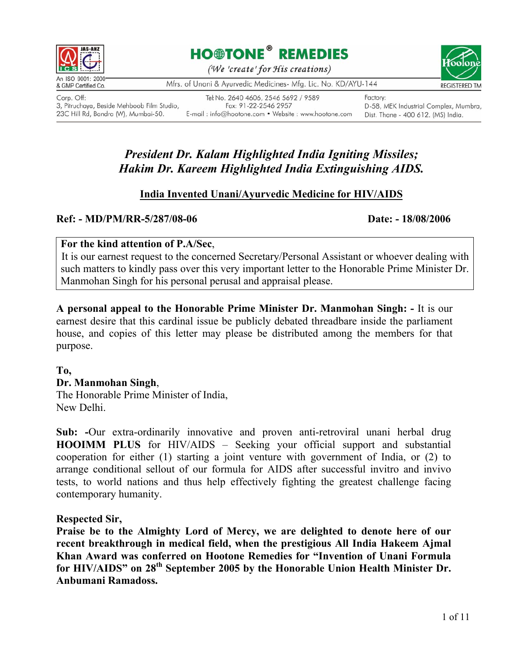





An ISO 9001: 2000 & GMP Certified Co.

Corp. Off: 3, Pitruchaya, Beside Mehboob Film Studio, 23C Hill Rd, Bandra (W), Mumbai-50.

Tel No. 2640 4606, 2546 5692 / 9589 Fax: 91-22-2546 2957 E-mail: info@hootone.com • Website: www.hootone.com

Mfrs. of Unani & Ayurvedic Medicines- Mfg. Lic. No. KD/AYU-144

Factory: D-58, MEK Industrial Complex, Mumbra, Dist. Thane - 400 612. (MS) India.

# *President Dr. Kalam Highlighted India Igniting Missiles; Hakim Dr. Kareem Highlighted India Extinguishing AIDS.*

# **India Invented Unani/Ayurvedic Medicine for HIV/AIDS**

## Ref: - MD/PM/RR-5/287/08-06 Date: - 18/08/2006

### **For the kind attention of P.A/Sec**,

It is our earnest request to the concerned Secretary/Personal Assistant or whoever dealing with such matters to kindly pass over this very important letter to the Honorable Prime Minister Dr. Manmohan Singh for his personal perusal and appraisal please.

**A personal appeal to the Honorable Prime Minister Dr. Manmohan Singh: -** It is our earnest desire that this cardinal issue be publicly debated threadbare inside the parliament house, and copies of this letter may please be distributed among the members for that purpose.

### **To,**

### **Dr. Manmohan Singh**,

The Honorable Prime Minister of India, New Delhi.

**Sub: -**Our extra-ordinarily innovative and proven anti-retroviral unani herbal drug **HOOIMM PLUS** for HIV/AIDS – Seeking your official support and substantial cooperation for either (1) starting a joint venture with government of India, or (2) to arrange conditional sellout of our formula for AIDS after successful invitro and invivo tests, to world nations and thus help effectively fighting the greatest challenge facing contemporary humanity.

**Respected Sir,** 

**Praise be to the Almighty Lord of Mercy, we are delighted to denote here of our recent breakthrough in medical field, when the prestigious All India Hakeem Ajmal Khan Award was conferred on Hootone Remedies for "Invention of Unani Formula for HIV/AIDS" on 28th September 2005 by the Honorable Union Health Minister Dr. Anbumani Ramadoss.**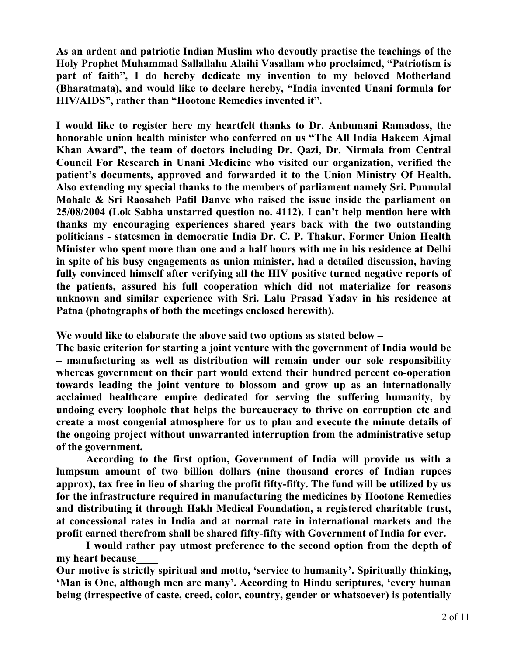**As an ardent and patriotic Indian Muslim who devoutly practise the teachings of the Holy Prophet Muhammad Sallallahu Alaihi Vasallam who proclaimed, "Patriotism is part of faith", I do hereby dedicate my invention to my beloved Motherland (Bharatmata), and would like to declare hereby, "India invented Unani formula for HIV/AIDS", rather than "Hootone Remedies invented it".** 

**I would like to register here my heartfelt thanks to Dr. Anbumani Ramadoss, the honorable union health minister who conferred on us "The All India Hakeem Ajmal Khan Award", the team of doctors including Dr. Qazi, Dr. Nirmala from Central Council For Research in Unani Medicine who visited our organization, verified the patient's documents, approved and forwarded it to the Union Ministry Of Health. Also extending my special thanks to the members of parliament namely Sri. Punnulal Mohale & Sri Raosaheb Patil Danve who raised the issue inside the parliament on 25/08/2004 (Lok Sabha unstarred question no. 4112). I can't help mention here with thanks my encouraging experiences shared years back with the two outstanding politicians - statesmen in democratic India Dr. C. P. Thakur, Former Union Health Minister who spent more than one and a half hours with me in his residence at Delhi in spite of his busy engagements as union minister, had a detailed discussion, having fully convinced himself after verifying all the HIV positive turned negative reports of the patients, assured his full cooperation which did not materialize for reasons unknown and similar experience with Sri. Lalu Prasad Yadav in his residence at Patna (photographs of both the meetings enclosed herewith).** 

**We would like to elaborate the above said two options as stated below –** 

**The basic criterion for starting a joint venture with the government of India would be – manufacturing as well as distribution will remain under our sole responsibility whereas government on their part would extend their hundred percent co-operation towards leading the joint venture to blossom and grow up as an internationally acclaimed healthcare empire dedicated for serving the suffering humanity, by undoing every loophole that helps the bureaucracy to thrive on corruption etc and create a most congenial atmosphere for us to plan and execute the minute details of the ongoing project without unwarranted interruption from the administrative setup of the government.** 

**According to the first option, Government of India will provide us with a lumpsum amount of two billion dollars (nine thousand crores of Indian rupees approx), tax free in lieu of sharing the profit fifty-fifty. The fund will be utilized by us for the infrastructure required in manufacturing the medicines by Hootone Remedies and distributing it through Hakh Medical Foundation, a registered charitable trust, at concessional rates in India and at normal rate in international markets and the profit earned therefrom shall be shared fifty-fifty with Government of India for ever.** 

**I would rather pay utmost preference to the second option from the depth of my heart because\_\_\_\_** 

**Our motive is strictly spiritual and motto, 'service to humanity'. Spiritually thinking, 'Man is One, although men are many'. According to Hindu scriptures, 'every human being (irrespective of caste, creed, color, country, gender or whatsoever) is potentially**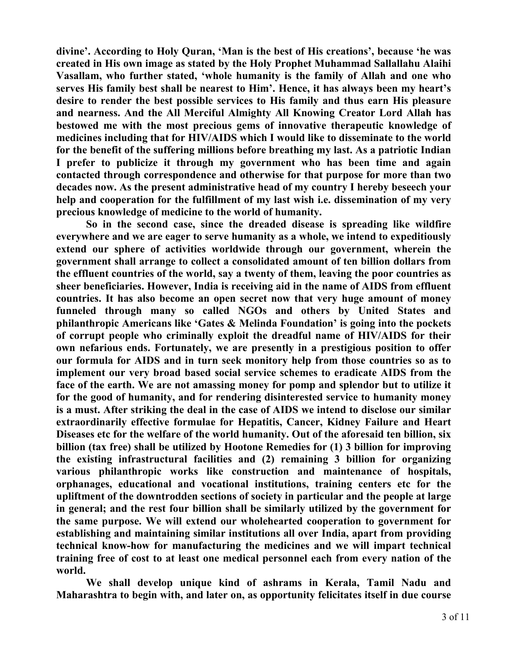**divine'. According to Holy Quran, 'Man is the best of His creations', because 'he was created in His own image as stated by the Holy Prophet Muhammad Sallallahu Alaihi Vasallam, who further stated, 'whole humanity is the family of Allah and one who serves His family best shall be nearest to Him'. Hence, it has always been my heart's desire to render the best possible services to His family and thus earn His pleasure and nearness. And the All Merciful Almighty All Knowing Creator Lord Allah has bestowed me with the most precious gems of innovative therapeutic knowledge of medicines including that for HIV/AIDS which I would like to disseminate to the world for the benefit of the suffering millions before breathing my last. As a patriotic Indian I prefer to publicize it through my government who has been time and again contacted through correspondence and otherwise for that purpose for more than two decades now. As the present administrative head of my country I hereby beseech your help and cooperation for the fulfillment of my last wish i.e. dissemination of my very precious knowledge of medicine to the world of humanity.** 

**So in the second case, since the dreaded disease is spreading like wildfire everywhere and we are eager to serve humanity as a whole, we intend to expeditiously extend our sphere of activities worldwide through our government, wherein the government shall arrange to collect a consolidated amount of ten billion dollars from the effluent countries of the world, say a twenty of them, leaving the poor countries as sheer beneficiaries. However, India is receiving aid in the name of AIDS from effluent countries. It has also become an open secret now that very huge amount of money funneled through many so called NGOs and others by United States and philanthropic Americans like 'Gates & Melinda Foundation' is going into the pockets of corrupt people who criminally exploit the dreadful name of HIV/AIDS for their own nefarious ends. Fortunately, we are presently in a prestigious position to offer our formula for AIDS and in turn seek monitory help from those countries so as to implement our very broad based social service schemes to eradicate AIDS from the face of the earth. We are not amassing money for pomp and splendor but to utilize it for the good of humanity, and for rendering disinterested service to humanity money is a must. After striking the deal in the case of AIDS we intend to disclose our similar extraordinarily effective formulae for Hepatitis, Cancer, Kidney Failure and Heart Diseases etc for the welfare of the world humanity. Out of the aforesaid ten billion, six billion (tax free) shall be utilized by Hootone Remedies for (1) 3 billion for improving the existing infrastructural facilities and (2) remaining 3 billion for organizing various philanthropic works like construction and maintenance of hospitals, orphanages, educational and vocational institutions, training centers etc for the upliftment of the downtrodden sections of society in particular and the people at large in general; and the rest four billion shall be similarly utilized by the government for the same purpose. We will extend our wholehearted cooperation to government for establishing and maintaining similar institutions all over India, apart from providing technical know-how for manufacturing the medicines and we will impart technical training free of cost to at least one medical personnel each from every nation of the world.** 

**We shall develop unique kind of ashrams in Kerala, Tamil Nadu and Maharashtra to begin with, and later on, as opportunity felicitates itself in due course**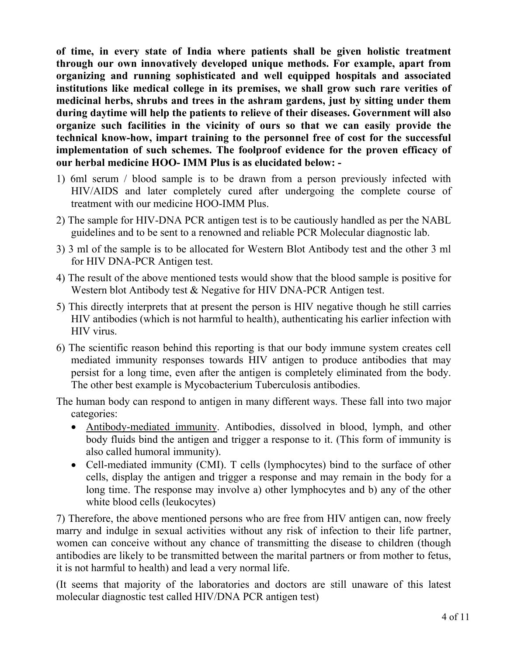**of time, in every state of India where patients shall be given holistic treatment through our own innovatively developed unique methods. For example, apart from organizing and running sophisticated and well equipped hospitals and associated institutions like medical college in its premises, we shall grow such rare verities of medicinal herbs, shrubs and trees in the ashram gardens, just by sitting under them during daytime will help the patients to relieve of their diseases. Government will also organize such facilities in the vicinity of ours so that we can easily provide the technical know-how, impart training to the personnel free of cost for the successful implementation of such schemes. The foolproof evidence for the proven efficacy of our herbal medicine HOO- IMM Plus is as elucidated below: -** 

- 1) 6ml serum / blood sample is to be drawn from a person previously infected with HIV/AIDS and later completely cured after undergoing the complete course of treatment with our medicine HOO-IMM Plus.
- 2) The sample for HIV-DNA PCR antigen test is to be cautiously handled as per the NABL guidelines and to be sent to a renowned and reliable PCR Molecular diagnostic lab.
- 3) 3 ml of the sample is to be allocated for Western Blot Antibody test and the other 3 ml for HIV DNA-PCR Antigen test.
- 4) The result of the above mentioned tests would show that the blood sample is positive for Western blot Antibody test & Negative for HIV DNA-PCR Antigen test.
- 5) This directly interprets that at present the person is HIV negative though he still carries HIV antibodies (which is not harmful to health), authenticating his earlier infection with HIV virus.
- 6) The scientific reason behind this reporting is that our body immune system creates cell mediated immunity responses towards HIV antigen to produce antibodies that may persist for a long time, even after the antigen is completely eliminated from the body. The other best example is Mycobacterium Tuberculosis antibodies.

The human body can respond to antigen in many different ways. These fall into two major categories:

- Antibody-mediated immunity. Antibodies, dissolved in blood, lymph, and other body fluids bind the antigen and trigger a response to it. (This form of immunity is also called humoral immunity).
- Cell-mediated immunity (CMI). T cells (lymphocytes) bind to the surface of other cells, display the antigen and trigger a response and may remain in the body for a long time. The response may involve a) other lymphocytes and b) any of the other white blood cells (leukocytes)

7) Therefore, the above mentioned persons who are free from HIV antigen can, now freely marry and indulge in sexual activities without any risk of infection to their life partner, women can conceive without any chance of transmitting the disease to children (though antibodies are likely to be transmitted between the marital partners or from mother to fetus, it is not harmful to health) and lead a very normal life.

(It seems that majority of the laboratories and doctors are still unaware of this latest molecular diagnostic test called HIV/DNA PCR antigen test)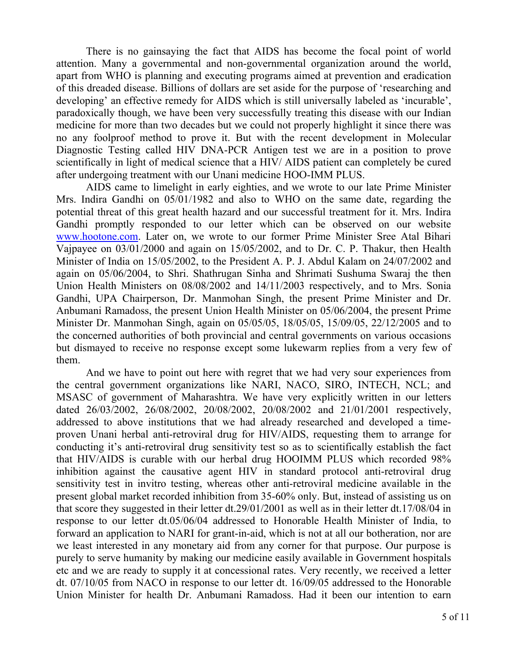There is no gainsaying the fact that AIDS has become the focal point of world attention. Many a governmental and non-governmental organization around the world, apart from WHO is planning and executing programs aimed at prevention and eradication of this dreaded disease. Billions of dollars are set aside for the purpose of 'researching and developing' an effective remedy for AIDS which is still universally labeled as 'incurable', paradoxically though, we have been very successfully treating this disease with our Indian medicine for more than two decades but we could not properly highlight it since there was no any foolproof method to prove it. But with the recent development in Molecular Diagnostic Testing called HIV DNA-PCR Antigen test we are in a position to prove scientifically in light of medical science that a HIV/ AIDS patient can completely be cured after undergoing treatment with our Unani medicine HOO-IMM PLUS.

 AIDS came to limelight in early eighties, and we wrote to our late Prime Minister Mrs. Indira Gandhi on 05/01/1982 and also to WHO on the same date, regarding the potential threat of this great health hazard and our successful treatment for it. Mrs. Indira Gandhi promptly responded to our letter which can be observed on our website www.hootone.com. Later on, we wrote to our former Prime Minister Sree Atal Bihari Vajpayee on 03/01/2000 and again on 15/05/2002, and to Dr. C. P. Thakur, then Health Minister of India on 15/05/2002, to the President A. P. J. Abdul Kalam on 24/07/2002 and again on 05/06/2004, to Shri. Shathrugan Sinha and Shrimati Sushuma Swaraj the then Union Health Ministers on 08/08/2002 and 14/11/2003 respectively, and to Mrs. Sonia Gandhi, UPA Chairperson, Dr. Manmohan Singh, the present Prime Minister and Dr. Anbumani Ramadoss, the present Union Health Minister on 05/06/2004, the present Prime Minister Dr. Manmohan Singh, again on 05/05/05, 18/05/05, 15/09/05, 22/12/2005 and to the concerned authorities of both provincial and central governments on various occasions but dismayed to receive no response except some lukewarm replies from a very few of them.

And we have to point out here with regret that we had very sour experiences from the central government organizations like NARI, NACO, SIRO, INTECH, NCL; and MSASC of government of Maharashtra. We have very explicitly written in our letters dated 26/03/2002, 26/08/2002, 20/08/2002, 20/08/2002 and 21/01/2001 respectively, addressed to above institutions that we had already researched and developed a timeproven Unani herbal anti-retroviral drug for HIV/AIDS, requesting them to arrange for conducting it's anti-retroviral drug sensitivity test so as to scientifically establish the fact that HIV/AIDS is curable with our herbal drug HOOIMM PLUS which recorded 98% inhibition against the causative agent HIV in standard protocol anti-retroviral drug sensitivity test in invitro testing, whereas other anti-retroviral medicine available in the present global market recorded inhibition from 35-60% only. But, instead of assisting us on that score they suggested in their letter dt.29/01/2001 as well as in their letter dt.17/08/04 in response to our letter dt.05/06/04 addressed to Honorable Health Minister of India, to forward an application to NARI for grant-in-aid, which is not at all our botheration, nor are we least interested in any monetary aid from any corner for that purpose. Our purpose is purely to serve humanity by making our medicine easily available in Government hospitals etc and we are ready to supply it at concessional rates. Very recently, we received a letter dt. 07/10/05 from NACO in response to our letter dt. 16/09/05 addressed to the Honorable Union Minister for health Dr. Anbumani Ramadoss. Had it been our intention to earn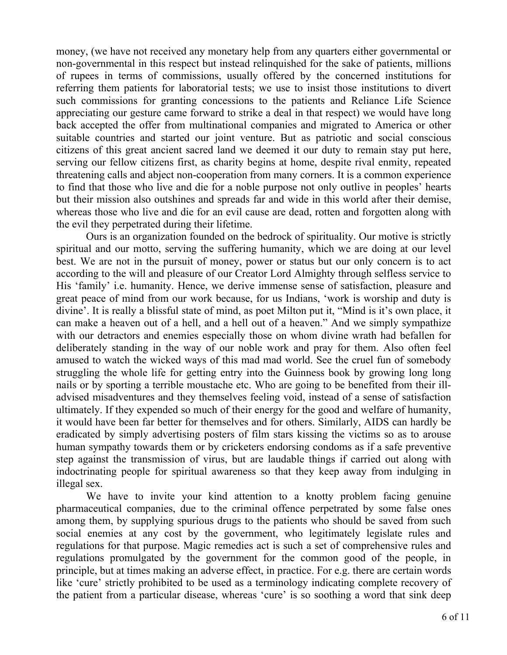money, (we have not received any monetary help from any quarters either governmental or non-governmental in this respect but instead relinquished for the sake of patients, millions of rupees in terms of commissions, usually offered by the concerned institutions for referring them patients for laboratorial tests; we use to insist those institutions to divert such commissions for granting concessions to the patients and Reliance Life Science appreciating our gesture came forward to strike a deal in that respect) we would have long back accepted the offer from multinational companies and migrated to America or other suitable countries and started our joint venture. But as patriotic and social conscious citizens of this great ancient sacred land we deemed it our duty to remain stay put here, serving our fellow citizens first, as charity begins at home, despite rival enmity, repeated threatening calls and abject non-cooperation from many corners. It is a common experience to find that those who live and die for a noble purpose not only outlive in peoples' hearts but their mission also outshines and spreads far and wide in this world after their demise, whereas those who live and die for an evil cause are dead, rotten and forgotten along with the evil they perpetrated during their lifetime.

Ours is an organization founded on the bedrock of spirituality. Our motive is strictly spiritual and our motto, serving the suffering humanity, which we are doing at our level best. We are not in the pursuit of money, power or status but our only concern is to act according to the will and pleasure of our Creator Lord Almighty through selfless service to His 'family' i.e. humanity. Hence, we derive immense sense of satisfaction, pleasure and great peace of mind from our work because, for us Indians, 'work is worship and duty is divine'. It is really a blissful state of mind, as poet Milton put it, "Mind is it's own place, it can make a heaven out of a hell, and a hell out of a heaven." And we simply sympathize with our detractors and enemies especially those on whom divine wrath had befallen for deliberately standing in the way of our noble work and pray for them. Also often feel amused to watch the wicked ways of this mad mad world. See the cruel fun of somebody struggling the whole life for getting entry into the Guinness book by growing long long nails or by sporting a terrible moustache etc. Who are going to be benefited from their illadvised misadventures and they themselves feeling void, instead of a sense of satisfaction ultimately. If they expended so much of their energy for the good and welfare of humanity, it would have been far better for themselves and for others. Similarly, AIDS can hardly be eradicated by simply advertising posters of film stars kissing the victims so as to arouse human sympathy towards them or by cricketers endorsing condoms as if a safe preventive step against the transmission of virus, but are laudable things if carried out along with indoctrinating people for spiritual awareness so that they keep away from indulging in illegal sex.

We have to invite your kind attention to a knotty problem facing genuine pharmaceutical companies, due to the criminal offence perpetrated by some false ones among them, by supplying spurious drugs to the patients who should be saved from such social enemies at any cost by the government, who legitimately legislate rules and regulations for that purpose. Magic remedies act is such a set of comprehensive rules and regulations promulgated by the government for the common good of the people, in principle, but at times making an adverse effect, in practice. For e.g. there are certain words like 'cure' strictly prohibited to be used as a terminology indicating complete recovery of the patient from a particular disease, whereas 'cure' is so soothing a word that sink deep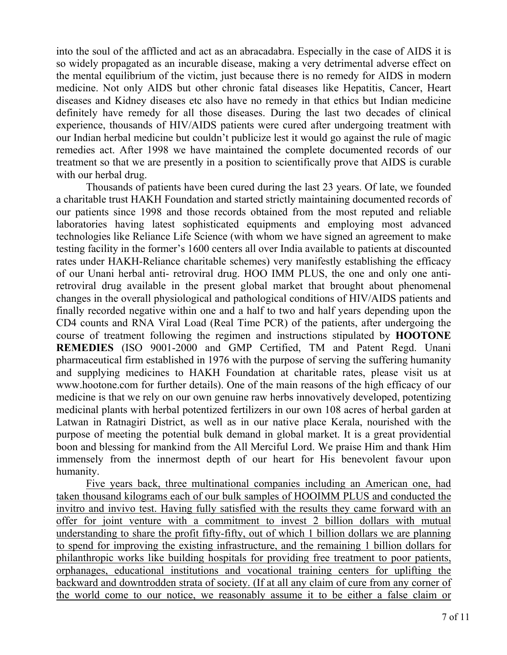into the soul of the afflicted and act as an abracadabra. Especially in the case of AIDS it is so widely propagated as an incurable disease, making a very detrimental adverse effect on the mental equilibrium of the victim, just because there is no remedy for AIDS in modern medicine. Not only AIDS but other chronic fatal diseases like Hepatitis, Cancer, Heart diseases and Kidney diseases etc also have no remedy in that ethics but Indian medicine definitely have remedy for all those diseases. During the last two decades of clinical experience, thousands of HIV/AIDS patients were cured after undergoing treatment with our Indian herbal medicine but couldn't publicize lest it would go against the rule of magic remedies act. After 1998 we have maintained the complete documented records of our treatment so that we are presently in a position to scientifically prove that AIDS is curable with our herbal drug.

Thousands of patients have been cured during the last 23 years. Of late, we founded a charitable trust HAKH Foundation and started strictly maintaining documented records of our patients since 1998 and those records obtained from the most reputed and reliable laboratories having latest sophisticated equipments and employing most advanced technologies like Reliance Life Science (with whom we have signed an agreement to make testing facility in the former's 1600 centers all over India available to patients at discounted rates under HAKH-Reliance charitable schemes) very manifestly establishing the efficacy of our Unani herbal anti- retroviral drug. HOO IMM PLUS, the one and only one antiretroviral drug available in the present global market that brought about phenomenal changes in the overall physiological and pathological conditions of HIV/AIDS patients and finally recorded negative within one and a half to two and half years depending upon the CD4 counts and RNA Viral Load (Real Time PCR) of the patients, after undergoing the course of treatment following the regimen and instructions stipulated by **HOOTONE REMEDIES** (ISO 9001-2000 and GMP Certified, TM and Patent Regd. Unani pharmaceutical firm established in 1976 with the purpose of serving the suffering humanity and supplying medicines to HAKH Foundation at charitable rates, please visit us at www.hootone.com for further details). One of the main reasons of the high efficacy of our medicine is that we rely on our own genuine raw herbs innovatively developed, potentizing medicinal plants with herbal potentized fertilizers in our own 108 acres of herbal garden at Latwan in Ratnagiri District, as well as in our native place Kerala, nourished with the purpose of meeting the potential bulk demand in global market. It is a great providential boon and blessing for mankind from the All Merciful Lord. We praise Him and thank Him immensely from the innermost depth of our heart for His benevolent favour upon humanity.

Five years back, three multinational companies including an American one, had taken thousand kilograms each of our bulk samples of HOOIMM PLUS and conducted the invitro and invivo test. Having fully satisfied with the results they came forward with an offer for joint venture with a commitment to invest 2 billion dollars with mutual understanding to share the profit fifty-fifty, out of which 1 billion dollars we are planning to spend for improving the existing infrastructure, and the remaining 1 billion dollars for philanthropic works like building hospitals for providing free treatment to poor patients, orphanages, educational institutions and vocational training centers for uplifting the backward and downtrodden strata of society. (If at all any claim of cure from any corner of the world come to our notice, we reasonably assume it to be either a false claim or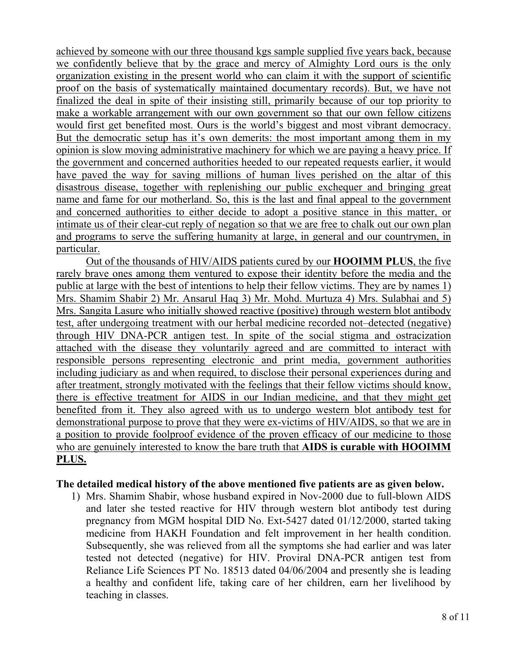achieved by someone with our three thousand kgs sample supplied five years back, because we confidently believe that by the grace and mercy of Almighty Lord ours is the only organization existing in the present world who can claim it with the support of scientific proof on the basis of systematically maintained documentary records). But, we have not finalized the deal in spite of their insisting still, primarily because of our top priority to make a workable arrangement with our own government so that our own fellow citizens would first get benefited most. Ours is the world's biggest and most vibrant democracy. But the democratic setup has it's own demerits: the most important among them in my opinion is slow moving administrative machinery for which we are paying a heavy price. If the government and concerned authorities heeded to our repeated requests earlier, it would have paved the way for saving millions of human lives perished on the altar of this disastrous disease, together with replenishing our public exchequer and bringing great name and fame for our motherland. So, this is the last and final appeal to the government and concerned authorities to either decide to adopt a positive stance in this matter, or intimate us of their clear-cut reply of negation so that we are free to chalk out our own plan and programs to serve the suffering humanity at large, in general and our countrymen, in particular.

Out of the thousands of HIV/AIDS patients cured by our **HOOIMM PLUS**, the five rarely brave ones among them ventured to expose their identity before the media and the public at large with the best of intentions to help their fellow victims. They are by names 1) Mrs. Shamim Shabir 2) Mr. Ansarul Haq 3) Mr. Mohd. Murtuza 4) Mrs. Sulabhai and 5) Mrs. Sangita Lasure who initially showed reactive (positive) through western blot antibody test, after undergoing treatment with our herbal medicine recorded not–detected (negative) through HIV DNA-PCR antigen test. In spite of the social stigma and ostracization attached with the disease they voluntarily agreed and are committed to interact with responsible persons representing electronic and print media, government authorities including judiciary as and when required, to disclose their personal experiences during and after treatment, strongly motivated with the feelings that their fellow victims should know, there is effective treatment for AIDS in our Indian medicine, and that they might get benefited from it. They also agreed with us to undergo western blot antibody test for demonstrational purpose to prove that they were ex-victims of HIV/AIDS, so that we are in a position to provide foolproof evidence of the proven efficacy of our medicine to those who are genuinely interested to know the bare truth that **AIDS is curable with HOOIMM PLUS.**

#### **The detailed medical history of the above mentioned five patients are as given below.**

1) Mrs. Shamim Shabir, whose husband expired in Nov-2000 due to full-blown AIDS and later she tested reactive for HIV through western blot antibody test during pregnancy from MGM hospital DID No. Ext-5427 dated 01/12/2000, started taking medicine from HAKH Foundation and felt improvement in her health condition. Subsequently, she was relieved from all the symptoms she had earlier and was later tested not detected (negative) for HIV. Proviral DNA-PCR antigen test from Reliance Life Sciences PT No. 18513 dated 04/06/2004 and presently she is leading a healthy and confident life, taking care of her children, earn her livelihood by teaching in classes.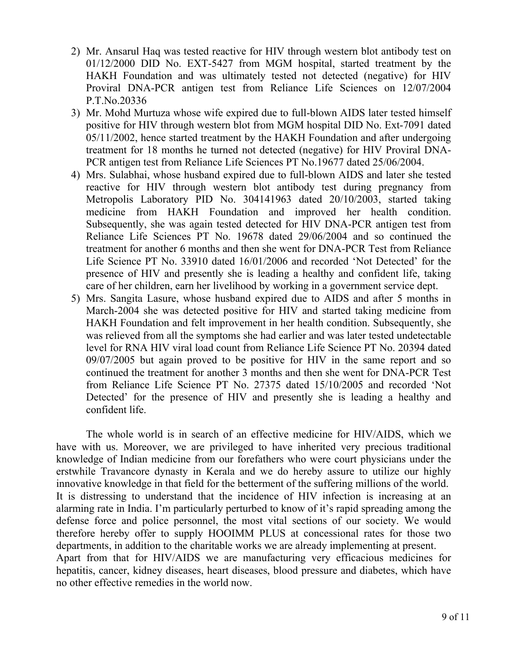- 2) Mr. Ansarul Haq was tested reactive for HIV through western blot antibody test on 01/12/2000 DID No. EXT-5427 from MGM hospital, started treatment by the HAKH Foundation and was ultimately tested not detected (negative) for HIV Proviral DNA-PCR antigen test from Reliance Life Sciences on 12/07/2004 P.T.No.20336
- 3) Mr. Mohd Murtuza whose wife expired due to full-blown AIDS later tested himself positive for HIV through western blot from MGM hospital DID No. Ext-7091 dated 05/11/2002, hence started treatment by the HAKH Foundation and after undergoing treatment for 18 months he turned not detected (negative) for HIV Proviral DNA-PCR antigen test from Reliance Life Sciences PT No.19677 dated 25/06/2004.
- 4) Mrs. Sulabhai, whose husband expired due to full-blown AIDS and later she tested reactive for HIV through western blot antibody test during pregnancy from Metropolis Laboratory PID No. 304141963 dated 20/10/2003, started taking medicine from HAKH Foundation and improved her health condition. Subsequently, she was again tested detected for HIV DNA-PCR antigen test from Reliance Life Sciences PT No. 19678 dated 29/06/2004 and so continued the treatment for another 6 months and then she went for DNA-PCR Test from Reliance Life Science PT No. 33910 dated 16/01/2006 and recorded 'Not Detected' for the presence of HIV and presently she is leading a healthy and confident life, taking care of her children, earn her livelihood by working in a government service dept.
- 5) Mrs. Sangita Lasure, whose husband expired due to AIDS and after 5 months in March-2004 she was detected positive for HIV and started taking medicine from HAKH Foundation and felt improvement in her health condition. Subsequently, she was relieved from all the symptoms she had earlier and was later tested undetectable level for RNA HIV viral load count from Reliance Life Science PT No. 20394 dated 09/07/2005 but again proved to be positive for HIV in the same report and so continued the treatment for another 3 months and then she went for DNA-PCR Test from Reliance Life Science PT No. 27375 dated 15/10/2005 and recorded 'Not Detected' for the presence of HIV and presently she is leading a healthy and confident life.

The whole world is in search of an effective medicine for HIV/AIDS, which we have with us. Moreover, we are privileged to have inherited very precious traditional knowledge of Indian medicine from our forefathers who were court physicians under the erstwhile Travancore dynasty in Kerala and we do hereby assure to utilize our highly innovative knowledge in that field for the betterment of the suffering millions of the world. It is distressing to understand that the incidence of HIV infection is increasing at an alarming rate in India. I'm particularly perturbed to know of it's rapid spreading among the defense force and police personnel, the most vital sections of our society. We would therefore hereby offer to supply HOOIMM PLUS at concessional rates for those two departments, in addition to the charitable works we are already implementing at present. Apart from that for HIV/AIDS we are manufacturing very efficacious medicines for hepatitis, cancer, kidney diseases, heart diseases, blood pressure and diabetes, which have no other effective remedies in the world now.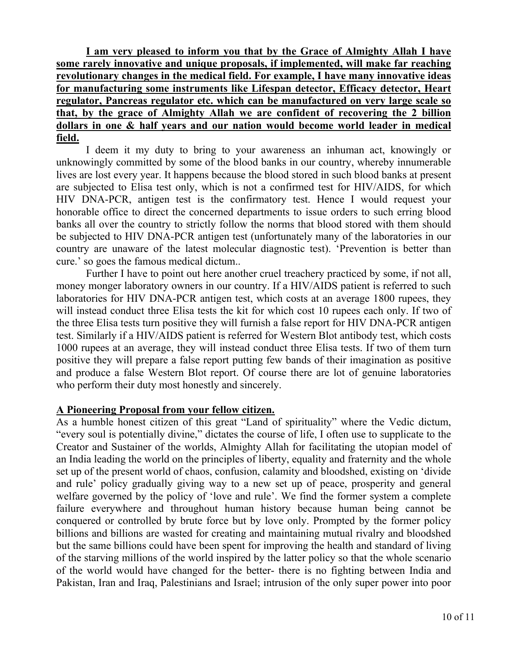**I am very pleased to inform you that by the Grace of Almighty Allah I have some rarely innovative and unique proposals, if implemented, will make far reaching revolutionary changes in the medical field. For example, I have many innovative ideas for manufacturing some instruments like Lifespan detector, Efficacy detector, Heart regulator, Pancreas regulator etc. which can be manufactured on very large scale so that, by the grace of Almighty Allah we are confident of recovering the 2 billion dollars in one & half years and our nation would become world leader in medical field.**

I deem it my duty to bring to your awareness an inhuman act, knowingly or unknowingly committed by some of the blood banks in our country, whereby innumerable lives are lost every year. It happens because the blood stored in such blood banks at present are subjected to Elisa test only, which is not a confirmed test for HIV/AIDS, for which HIV DNA-PCR, antigen test is the confirmatory test. Hence I would request your honorable office to direct the concerned departments to issue orders to such erring blood banks all over the country to strictly follow the norms that blood stored with them should be subjected to HIV DNA-PCR antigen test (unfortunately many of the laboratories in our country are unaware of the latest molecular diagnostic test). 'Prevention is better than cure.' so goes the famous medical dictum..

Further I have to point out here another cruel treachery practiced by some, if not all, money monger laboratory owners in our country. If a HIV/AIDS patient is referred to such laboratories for HIV DNA-PCR antigen test, which costs at an average 1800 rupees, they will instead conduct three Elisa tests the kit for which cost 10 rupees each only. If two of the three Elisa tests turn positive they will furnish a false report for HIV DNA-PCR antigen test. Similarly if a HIV/AIDS patient is referred for Western Blot antibody test, which costs 1000 rupees at an average, they will instead conduct three Elisa tests. If two of them turn positive they will prepare a false report putting few bands of their imagination as positive and produce a false Western Blot report. Of course there are lot of genuine laboratories who perform their duty most honestly and sincerely.

#### **A Pioneering Proposal from your fellow citizen.**

As a humble honest citizen of this great "Land of spirituality" where the Vedic dictum, "every soul is potentially divine," dictates the course of life, I often use to supplicate to the Creator and Sustainer of the worlds, Almighty Allah for facilitating the utopian model of an India leading the world on the principles of liberty, equality and fraternity and the whole set up of the present world of chaos, confusion, calamity and bloodshed, existing on 'divide and rule' policy gradually giving way to a new set up of peace, prosperity and general welfare governed by the policy of 'love and rule'. We find the former system a complete failure everywhere and throughout human history because human being cannot be conquered or controlled by brute force but by love only. Prompted by the former policy billions and billions are wasted for creating and maintaining mutual rivalry and bloodshed but the same billions could have been spent for improving the health and standard of living of the starving millions of the world inspired by the latter policy so that the whole scenario of the world would have changed for the better- there is no fighting between India and Pakistan, Iran and Iraq, Palestinians and Israel; intrusion of the only super power into poor